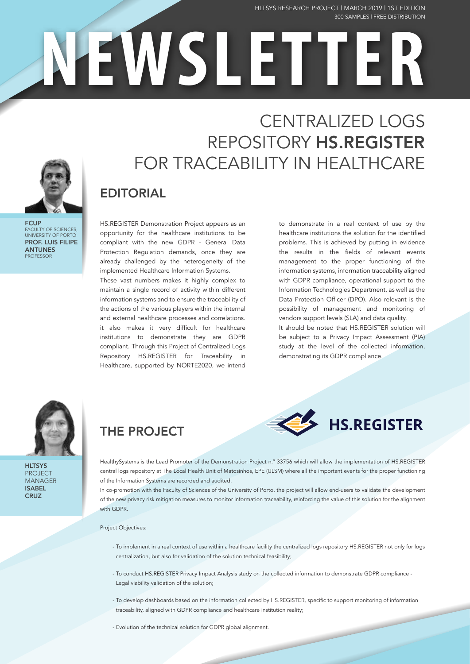#### 300 SAMPLES | FREE DISTRIBUTION HLTSYS RESEARCH PROJECT | MARCH 2019 | 1ST EDITION

**ECUP** FACULTY OF SCIENCES, UNIVERSITY OF PORTO PROF. LUIS FILIPE ANTUNES **PROFESSOR** 

# CENTRALIZED LOGS REPOSITORY HS.REGISTER FOR TRACEABILITY IN HEALTHCARE

**NEWSLETTER**

## EDITORIAL

HS.REGISTER Demonstration Project appears as an opportunity for the healthcare institutions to be compliant with the new GDPR - General Data Protection Regulation demands, once they are already challenged by the heterogeneity of the implemented Healthcare Information Systems.

These vast numbers makes it highly complex to maintain a single record of activity within different information systems and to ensure the traceability of the actions of the various players within the internal and external healthcare processes and correlations. it also makes it very difficult for healthcare institutions to demonstrate they are GDPR compliant. Through this Project of Centralized Logs Repository HS.REGISTER for Traceability in Healthcare, supported by NORTE2020, we intend

to demonstrate in a real context of use by the healthcare institutions the solution for the identified problems. This is achieved by putting in evidence the results in the fields of relevant events management to the proper functioning of the information systems, information traceability aligned with GDPR compliance, operational support to the Information Technologies Department, as well as the Data Protection Officer (DPO). Also relevant is the possibility of management and monitoring of vendors support levels (SLA) and data quality.

It should be noted that HS.REGISTER solution will be subject to a Privacy Impact Assessment (PIA) study at the level of the collected information, demonstrating its GDPR compliance.

**HS.REGISTER** 



**HLTSYS** PROJECT MANAGER ISABEL **CRUZ** 

## THE PROJECT

HealthySystems is the Lead Promoter of the Demonstration Project n.º 33756 which will allow the implementation of HS.REGISTER central logs repository at The Local Health Unit of Matosinhos, EPE (ULSM) where all the important events for the proper functioning

of the Information Systems are recorded and audited. In co-promotion with the Faculty of Sciences of the University of Porto, the project will allow end-users to validate the development

of the new privacy risk mitigation measures to monitor information traceability, reinforcing the value of this solution for the alignment with GDPR.

#### Project Objectives:

- To implement in a real context of use within a healthcare facility the centralized logs repository HS.REGISTER not only for logs centralization, but also for validation of the solution technical feasibility;
- To conduct HS.REGISTER Privacy Impact Analysis study on the collected information to demonstrate GDPR compliance Legal viability validation of the solution;
- To develop dashboards based on the information collected by HS.REGISTER, specific to support monitoring of information traceability, aligned with GDPR compliance and healthcare institution reality;

- Evolution of the technical solution for GDPR global alignment.